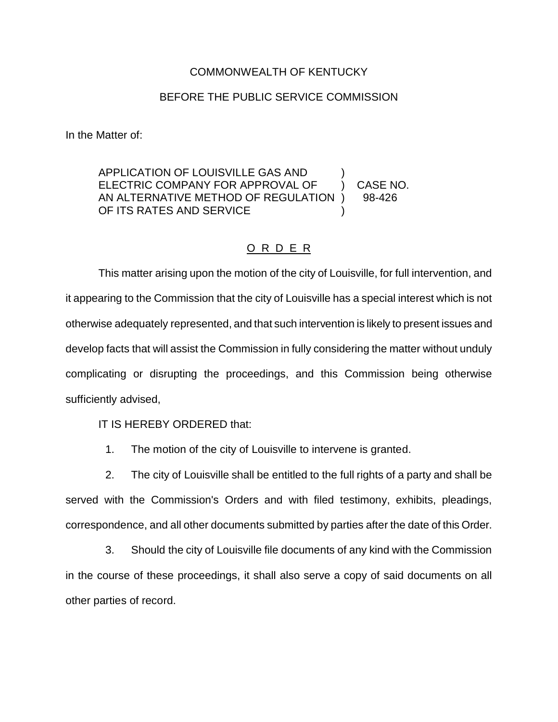## COMMONWEALTH OF KENTUCKY

## BEFORE THE PUBLIC SERVICE COMMISSION

In the Matter of:

APPLICATION OF LOUISVILLE GAS AND ) ELECTRIC COMPANY FOR APPROVAL OF (2) CASE NO. AN ALTERNATIVE METHOD OF REGULATION ) 98-426 OF ITS RATES AND SERVICE

## O R D E R

This matter arising upon the motion of the city of Louisville, for full intervention, and it appearing to the Commission that the city of Louisville has a special interest which is not otherwise adequately represented, and that such intervention is likely to present issues and develop facts that will assist the Commission in fully considering the matter without unduly complicating or disrupting the proceedings, and this Commission being otherwise sufficiently advised,

IT IS HEREBY ORDERED that:

1. The motion of the city of Louisville to intervene is granted.

2. The city of Louisville shall be entitled to the full rights of a party and shall be served with the Commission's Orders and with filed testimony, exhibits, pleadings, correspondence, and all other documents submitted by parties after the date of this Order.

3. Should the city of Louisville file documents of any kind with the Commission in the course of these proceedings, it shall also serve a copy of said documents on all other parties of record.